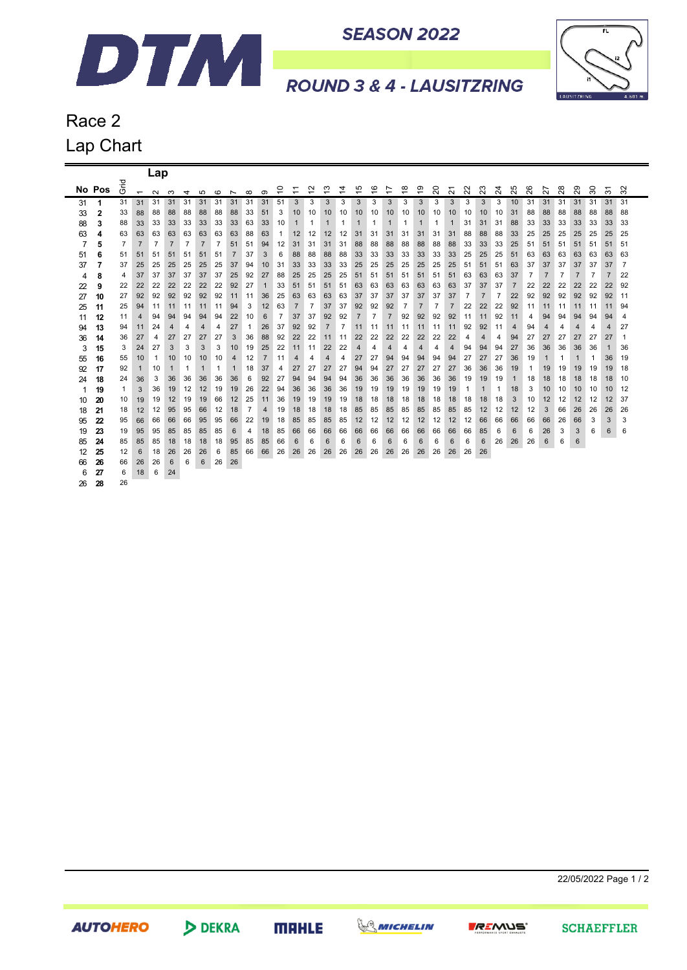

**SEASON 2022** 



**ROUND 3 & 4 - LAUSITZRING** 

Race 2 Lap Chart

|    |        |                |                          | Lap            |                |                |                |                |                      |                |                |                               |                                                      |                                    |                               |                               |                               |                               |                               |                |                               |                |                                    |                |                |                |              |                |                |    |                |    |                               |                |
|----|--------|----------------|--------------------------|----------------|----------------|----------------|----------------|----------------|----------------------|----------------|----------------|-------------------------------|------------------------------------------------------|------------------------------------|-------------------------------|-------------------------------|-------------------------------|-------------------------------|-------------------------------|----------------|-------------------------------|----------------|------------------------------------|----------------|----------------|----------------|--------------|----------------|----------------|----|----------------|----|-------------------------------|----------------|
|    | No Pos | 곧<br>O         | $\overline{\phantom{0}}$ | $\sim$         | ო              | 4              | LO.            | $\circ$        |                      | $\infty$       | ග              | 0<br>$\overline{\phantom{0}}$ | $\overline{\phantom{0}}$<br>$\overline{\phantom{0}}$ | $\sim$<br>$\overline{\phantom{0}}$ | ო<br>$\overline{\phantom{0}}$ | 4<br>$\overline{\phantom{0}}$ | 5<br>$\overline{\phantom{0}}$ | ဖ<br>$\overline{\phantom{0}}$ | Ľ<br>$\overline{\phantom{0}}$ | ∞<br>÷         | ၜ<br>$\overline{\phantom{0}}$ | 20             | $\overline{\phantom{0}}$<br>$\sim$ | 22             | 23             | $\overline{2}$ | 25           | 26             | 27             | 28 | 29             | 30 | $\overline{\phantom{0}}$<br>ო | $\sim$<br>ო    |
| 31 | 1      | 31             | 31                       | 31             | 31             | 31             | 31             | 31             | $\overline{ }$<br>31 | 31             | 31             | 51                            | 3                                                    | 3                                  | 3                             | 3                             | 3                             | 3                             | 3                             | 3              | 3                             | 3              | 3                                  | 3              | 3              | 3              | 10           | 31             | 31             | 31 | 31             | 31 | 31                            | 31             |
| 33 | 2      | 33             | 88                       | 88             | 88             | 88             | 88             | 88             | 88                   | 33             | 51             | 3                             | 10                                                   | 10                                 | 10                            | 10                            | 10                            | 10                            | 10                            | 10             | 10                            | 10             | 10                                 | 10             | 10             | 10             | 31           | 88             | 88             | 88 | 88             | 88 | 88                            | 88             |
| 88 | 3      | 88             | 33                       | 33             | 33             | 33             | 33             | 33             | 33                   | 63             | 33             | 10                            | 1                                                    | 1                                  | 1                             | 1                             | 1                             | 1                             | 1                             |                | 1                             | 1              | 1                                  | 31             | 31             | 31             | 88           | 33             | 33             | 33 | 33             | 33 | 33                            | 33             |
| 63 | 4      | 63             | 63                       | 63             | 63             | 63             | 63             | 63             | 63                   | 88             | 63             | -1                            | 12                                                   | 12                                 | 12                            | 12                            | 31                            | 31                            | 31                            | 31             | 31                            | 31             | 31                                 | 88             | 88             | 88             | 33           | 25             | 25             | 25 | 25             | 25 | 25                            | 25             |
| 7  | 5      | $\overline{7}$ | $\overline{7}$           | $\overline{7}$ | $\overline{7}$ | $\overline{7}$ | $\overline{7}$ | $\overline{7}$ | 51                   | 51             | 94             | 12                            | 31                                                   | 31                                 | 31                            | 31                            | 88                            | 88                            | 88                            | 88             | 88                            | 88             | 88                                 | 33             | 33             | 33             | 25           | 51             | 51             | 51 | 51             | 51 | 51                            | 51             |
| 51 | 6      | 51             | 51                       | 51             | 51             | 51             | 51             | 51             | $\overline{7}$       | 37             | 3              | 6                             | 88                                                   | 88                                 | 88                            | 88                            | 33                            | 33                            | 33                            | 33             | 33                            | 33             | 33                                 | 25             | 25             | 25             | 51           | 63             | 63             | 63 | 63             | 63 | 63                            | 63             |
| 37 | 7      | 37             | 25                       | 25             | 25             | 25             | 25             | 25             | 37                   | 94             | 10             | 31                            | 33                                                   | 33                                 | 33                            | 33                            | 25                            | 25                            | 25                            | 25             | 25                            | 25             | 25                                 | 51             | 51             | 51             | 63           | 37             | 37             | 37 | 37             | 37 | 37                            | $\overline{7}$ |
| 4  | 8      | 4              | 37                       | 37             | 37             | 37             | 37             | 37             | 25                   | 92             | 27             | 88                            | 25                                                   | 25                                 | 25                            | 25                            | 51                            | 51                            | 51                            | 51             | 51                            | 51             | 51                                 | 63             | 63             | 63             | 37           | $\overline{7}$ | $\overline{7}$ | 7  | $\overline{7}$ | 7  | 7                             | 22             |
| 22 | 9      | 22             | 22                       | 22             | 22             | 22             | 22             | 22             | 92                   | 27             | 1              | 33                            | 51                                                   | 51                                 | 51                            | 51                            | 63                            | 63                            | 63                            | 63             | 63                            | 63             | 63                                 | 37             | 37             | 37             | 7            | 22             | 22             | 22 | 22             | 22 | 22                            | 92             |
| 27 | 10     | 27             | 92                       | 92             | 92             | 92             | 92             | 92             | 11                   | 11             | 36             | 25                            | 63                                                   | 63                                 | 63                            | 63                            | 37                            | 37                            | 37                            | 37             | 37                            | 37             | 37                                 | $\overline{7}$ | $\overline{7}$ | $\overline{7}$ | 22           | 92             | 92             | 92 | 92             | 92 | 92                            | 11             |
| 25 | 11     | 25             | 94                       | 11             | 11             | 11             | 11             | 11             | 94                   | 3              | 12             | 63                            | $\overline{7}$                                       | $\overline{7}$                     | 37                            | 37                            | 92                            | 92                            | 92                            | $\overline{7}$ | $\overline{7}$                | $\overline{7}$ | $\overline{7}$                     | 22             | 22             | 22             | 92           | 11             | 11             | 11 | 11             | 11 | 11                            | 94             |
| 11 | 12     | 11             | 4                        | 94             | 94             | 94             | 94             | 94             | 22                   | 10             | 6              | $\overline{7}$                | 37                                                   | 37                                 | 92                            | 92                            | $\overline{7}$                | $\overline{7}$                | $\overline{7}$                | 92             | 92                            | 92             | 92                                 | 11             | 11             | 92             | 11           | 4              | 94             | 94 | 94             | 94 | 94                            | 4              |
| 94 | 13     | 94             | 11                       | 24             | 4              | 4              | 4              | 4              | 27                   | 1              | 26             | 37                            | 92                                                   | 92                                 | $\overline{7}$                | $\overline{7}$                | 11                            | 11                            | 11                            | 11             | 11                            | 11             | 11                                 | 92             | 92             | 11             | 4            | 94             | 4              | 4  | 4              | 4  | 4                             | 27             |
| 36 | 14     | 36             | 27                       | 4              | 27             | 27             | 27             | 27             | 3                    | 36             | 88             | 92                            | 22                                                   | 22                                 | 11                            | 11                            | 22                            | 22                            | 22                            | 22             | 22                            | 22             | 22                                 | 4              | 4              | 4              | 94           | 27             | 27             | 27 | 27             | 27 | 27                            | $\overline{1}$ |
| 3  | 15     | 3              | 24                       | 27             | 3              | 3              | 3              | 3              | 10                   | 19             | 25             | 22                            | 11                                                   | 11                                 | 22                            | 22                            | 4                             | 4                             | 4                             | 4              | 4                             | 4              | 4                                  | 94             | 94             | 94             | 27           | 36             | 36             | 36 | 36             | 36 | 1                             | 36             |
| 55 | 16     | 55             | 10                       | $\mathbf{1}$   | 10             | 10             | 10             | 10             | 4                    | 12             | $\overline{7}$ | 11                            | 4                                                    | 4                                  | 4                             | 4                             | 27                            | 27                            | 94                            | 94             | 94                            | 94             | 94                                 | 27             | 27             | 27             | 36           | 19             | $\mathbf 1$    | 1  | $\mathbf 1$    | 1  | 36                            | 19             |
| 92 | 17     | 92             | $\mathbf{1}$             | 10             | 1              | 1              | 1              | 1              | 1                    | 18             | 37             | 4                             | 27                                                   | 27                                 | 27                            | 27                            | 94                            | 94                            | 27                            | 27             | 27                            | 27             | 27                                 | 36             | 36             | 36             | 19           | 1              | 19             | 19 | 19             | 19 | 19                            | 18             |
| 24 | 18     | 24             | 36                       | 3              | 36             | 36             | 36             | 36             | 36                   | 6              | 92             | 27                            | 94                                                   | 94                                 | 94                            | 94                            | 36                            | 36                            | 36                            | 36             | 36                            | 36             | 36                                 | 19             | 19             | 19             | $\mathbf{1}$ | 18             | 18             | 18 | 18             | 18 | 18                            | 10             |
|    | 19     | 1              | 3                        | 36             | 19             | 12             | 12             | 19             | 19                   | 26             | 22             | 94                            | 36                                                   | 36                                 | 36                            | 36                            | 19                            | 19                            | 19                            | 19             | 19                            | 19             | 19                                 | 1              | $\mathbf 1$    | 1              | 18           | 3              | 10             | 10 | 10             | 10 | 10                            | 12             |
| 10 | 20     | 10             | 19                       | 19             | 12             | 19             | 19             | 66             | 12                   | 25             | 11             | 36                            | 19                                                   | 19                                 | 19                            | 19                            | 18                            | 18                            | 18                            | 18             | 18                            | 18             | 18                                 | 18             | 18             | 18             | 3            | 10             | 12             | 12 | 12             | 12 | 12                            | 37             |
| 18 | 21     | 18             | 12                       | 12             | 95             | 95             | 66             | 12             | 18                   | $\overline{7}$ | 4              | 19                            | 18                                                   | 18                                 | 18                            | 18                            | 85                            | 85                            | 85                            | 85             | 85                            | 85             | 85                                 | 85             | 12             | 12             | 12           | 12             | 3              | 66 | 26             | 26 | 26                            | 26             |
| 95 | 22     | 95             | 66                       | 66             | 66             | 66             | 95             | 95             | 66                   | 22             | 19             | 18                            | 85                                                   | 85                                 | 85                            | 85                            | 12                            | 12                            | 12                            | 12             | 12                            | 12             | 12                                 | 12             | 66             | 66             | 66           | 66             | 66             | 26 | 66             | 3  | 3                             | 3              |
| 19 | 23     | 19             | 95                       | 95             | 85             | 85             | 85             | 85             | 6                    | 4              | 18             | 85                            | 66                                                   | 66                                 | 66                            | 66                            | 66                            | 66                            | 66                            | 66             | 66                            | 66             | 66                                 | 66             | 85             | 6              | 6            | 6              | 26             | 3  | 3              | 6  | 6                             | 6              |
| 85 | 24     | 85             | 85                       | 85             | 18             | 18             | 18             | 18             | 95                   | 85             | 85             | 66                            | 6                                                    | 6                                  | 6                             | 6                             | 6                             | 6                             | 6                             | 6              | 6                             | 6              | 6                                  | 6              | 6              | 26             | 26           | 26             | 6              | 6  | 6              |    |                               |                |
| 12 | 25     | 12             | 6                        | 18             | 26             | 26             | 26             | 6              | 85                   | 66             | 66             | 26                            | 26                                                   | 26                                 | 26                            | 26                            | 26                            | 26                            | 26                            | 26             | 26                            | 26             | 26                                 | 26             | 26             |                |              |                |                |    |                |    |                               |                |
| 66 | 26     | 66             | 26                       | 26             | 6              | 6              | 6              | 26             | 26                   |                |                |                               |                                                      |                                    |                               |                               |                               |                               |                               |                |                               |                |                                    |                |                |                |              |                |                |    |                |    |                               |                |
| 6  | 27     | 6              | 18                       | 6              | 24             |                |                |                |                      |                |                |                               |                                                      |                                    |                               |                               |                               |                               |                               |                |                               |                |                                    |                |                |                |              |                |                |    |                |    |                               |                |
| 26 | 28     | 26             |                          |                |                |                |                |                |                      |                |                |                               |                                                      |                                    |                               |                               |                               |                               |                               |                |                               |                |                                    |                |                |                |              |                |                |    |                |    |                               |                |

22/05/2022 Page 1 / 2